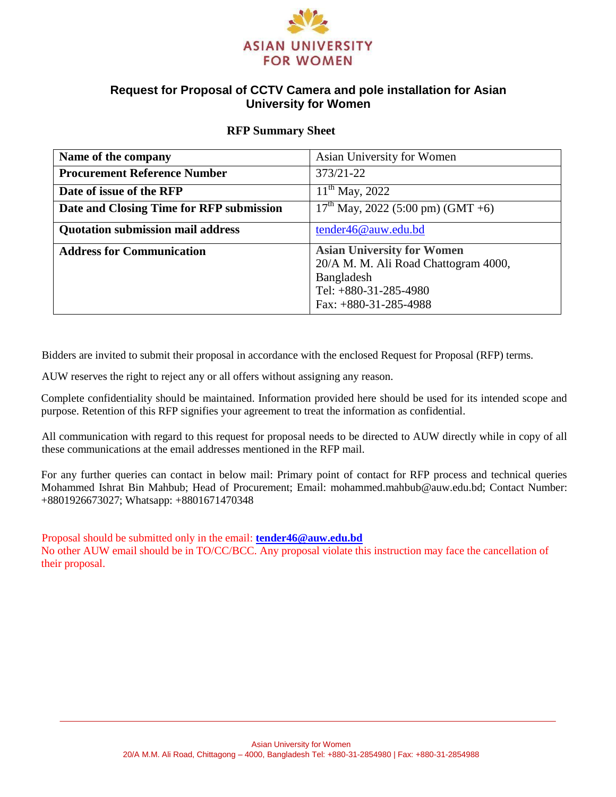

## **Request for Proposal of CCTV Camera and pole installation for Asian University for Women**

#### **RFP Summary Sheet**

| Name of the company                      | Asian University for Women                                                                                                                    |
|------------------------------------------|-----------------------------------------------------------------------------------------------------------------------------------------------|
| <b>Procurement Reference Number</b>      | 373/21-22                                                                                                                                     |
| Date of issue of the RFP                 | $11^{th}$ May, 2022                                                                                                                           |
| Date and Closing Time for RFP submission | $17th$ May, 2022 (5:00 pm) (GMT +6)                                                                                                           |
| <b>Quotation submission mail address</b> | tender46@auw.edu.bd                                                                                                                           |
| <b>Address for Communication</b>         | <b>Asian University for Women</b><br>20/A M. M. Ali Road Chattogram 4000,<br>Bangladesh<br>Tel: $+880-31-285-4980$<br>Fax: $+880-31-285-4988$ |

Bidders are invited to submit their proposal in accordance with the enclosed Request for Proposal (RFP) terms.

AUW reserves the right to reject any or all offers without assigning any reason.

Complete confidentiality should be maintained. Information provided here should be used for its intended scope and purpose. Retention of this RFP signifies your agreement to treat the information as confidential.

All communication with regard to this request for proposal needs to be directed to AUW directly while in copy of all these communications at the email addresses mentioned in the RFP mail.

For any further queries can contact in below mail: Primary point of contact for RFP process and technical queries Mohammed Ishrat Bin Mahbub; Head of Procurement; Email: mohammed.mahbub@auw.edu.bd; Contact Number: +8801926673027; Whatsapp: +8801671470348

Proposal should be submitted only in the email: **[tender46@auw.edu.bd](mailto:tender46@auw.edu.bd)** No other AUW email should be in TO/CC/BCC. Any proposal violate this instruction may face the cancellation of their proposal.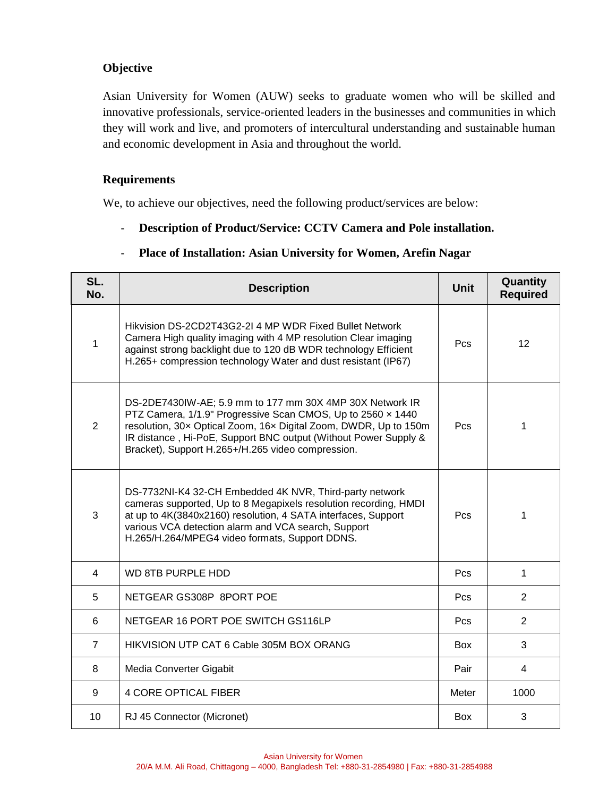## **Objective**

Asian University for Women (AUW) seeks to graduate women who will be skilled and innovative professionals, service-oriented leaders in the businesses and communities in which they will work and live, and promoters of intercultural understanding and sustainable human and economic development in Asia and throughout the world.

### **Requirements**

We, to achieve our objectives, need the following product/services are below:

- **Description of Product/Service: CCTV Camera and Pole installation.** 

## - **Place of Installation: Asian University for Women, Arefin Nagar**

| SL.<br>No.     | <b>Description</b>                                                                                                                                                                                                                                                                                                  |            | Quantity<br><b>Required</b> |
|----------------|---------------------------------------------------------------------------------------------------------------------------------------------------------------------------------------------------------------------------------------------------------------------------------------------------------------------|------------|-----------------------------|
| 1              | Hikvision DS-2CD2T43G2-2I 4 MP WDR Fixed Bullet Network<br>Camera High quality imaging with 4 MP resolution Clear imaging<br>against strong backlight due to 120 dB WDR technology Efficient<br>H.265+ compression technology Water and dust resistant (IP67)                                                       |            | 12                          |
| $\overline{2}$ | DS-2DE7430IW-AE; 5.9 mm to 177 mm 30X 4MP 30X Network IR<br>PTZ Camera, 1/1.9" Progressive Scan CMOS, Up to 2560 x 1440<br>resolution, 30x Optical Zoom, 16x Digital Zoom, DWDR, Up to 150m<br>IR distance, Hi-PoE, Support BNC output (Without Power Supply &<br>Bracket), Support H.265+/H.265 video compression. | Pcs        | 1                           |
| 3              | DS-7732NI-K4 32-CH Embedded 4K NVR, Third-party network<br>cameras supported, Up to 8 Megapixels resolution recording, HMDI<br>at up to 4K(3840x2160) resolution, 4 SATA interfaces, Support<br>various VCA detection alarm and VCA search, Support<br>H.265/H.264/MPEG4 video formats, Support DDNS.               | <b>Pcs</b> | 1                           |
| 4              | <b>WD 8TB PURPLE HDD</b>                                                                                                                                                                                                                                                                                            |            | 1                           |
| 5              | NETGEAR GS308P 8PORT POE                                                                                                                                                                                                                                                                                            | Pcs        | $\overline{2}$              |
| 6              | NETGEAR 16 PORT POE SWITCH GS116LP                                                                                                                                                                                                                                                                                  | Pcs        | $\overline{2}$              |
| 7              | HIKVISION UTP CAT 6 Cable 305M BOX ORANG                                                                                                                                                                                                                                                                            | <b>Box</b> | 3                           |
| 8              | Media Converter Gigabit                                                                                                                                                                                                                                                                                             | Pair       | 4                           |
| 9              | <b>4 CORE OPTICAL FIBER</b>                                                                                                                                                                                                                                                                                         | Meter      | 1000                        |
| 10             | RJ 45 Connector (Micronet)                                                                                                                                                                                                                                                                                          | <b>Box</b> | 3                           |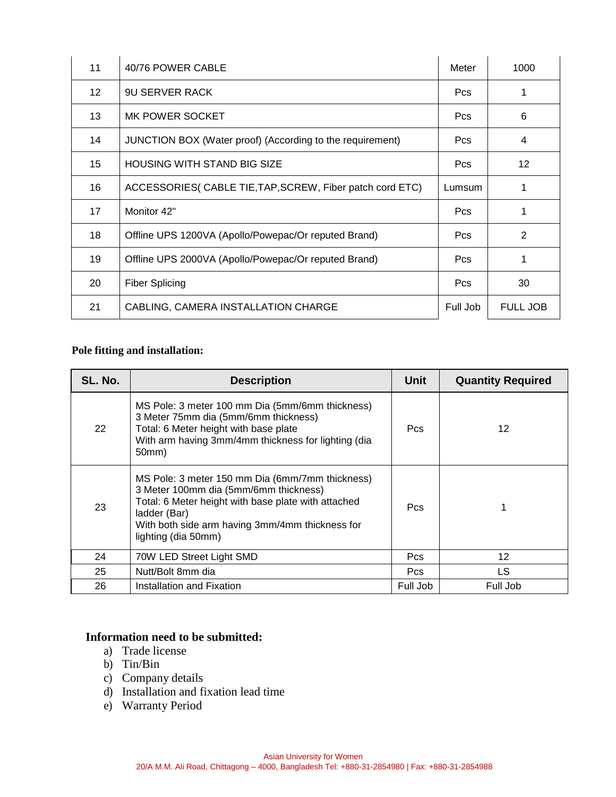| 11 | 40/76 POWER CABLE                                         | Meter      | 1000            |
|----|-----------------------------------------------------------|------------|-----------------|
| 12 | <b>9U SERVER RACK</b>                                     | <b>Pcs</b> |                 |
| 13 | MK POWER SOCKET                                           | <b>Pcs</b> | 6               |
| 14 | JUNCTION BOX (Water proof) (According to the requirement) | <b>Pcs</b> | 4               |
| 15 | <b>HOUSING WITH STAND BIG SIZE</b>                        | <b>Pcs</b> | 12 <sup>2</sup> |
| 16 | ACCESSORIES( CABLE TIE, TAP, SCREW, Fiber patch cord ETC) |            | 1               |
| 17 | Monitor 42"                                               | <b>Pcs</b> |                 |
| 18 | Offline UPS 1200VA (Apollo/Powepac/Or reputed Brand)      | <b>Pcs</b> | 2               |
| 19 | Offline UPS 2000VA (Apollo/Powepac/Or reputed Brand)      | <b>Pcs</b> | 1               |
| 20 | <b>Fiber Splicing</b>                                     | <b>Pcs</b> | 30              |
| 21 | CABLING, CAMERA INSTALLATION CHARGE                       | Full Job   | <b>FULL JOB</b> |

# **Pole fitting and installation:**

| SL. No. | <b>Description</b>                                                                                                                                                                                                                        | <b>Unit</b> | <b>Quantity Required</b> |
|---------|-------------------------------------------------------------------------------------------------------------------------------------------------------------------------------------------------------------------------------------------|-------------|--------------------------|
| 22      | MS Pole: 3 meter 100 mm Dia (5mm/6mm thickness)<br>3 Meter 75mm dia (5mm/6mm thickness)<br>Total: 6 Meter height with base plate<br>With arm having 3mm/4mm thickness for lighting (dia<br>50mm)                                          | <b>Pcs</b>  | 12                       |
| 23      | MS Pole: 3 meter 150 mm Dia (6mm/7mm thickness)<br>3 Meter 100mm dia (5mm/6mm thickness)<br>Total: 6 Meter height with base plate with attached<br>ladder (Bar)<br>With both side arm having 3mm/4mm thickness for<br>lighting (dia 50mm) | <b>Pcs</b>  |                          |
| 24      | 70W LED Street Light SMD                                                                                                                                                                                                                  | Pcs         | 12                       |
| 25      | Nutt/Bolt 8mm dia                                                                                                                                                                                                                         | Pcs         | LS.                      |
| 26      | Installation and Fixation                                                                                                                                                                                                                 | Full Job    | Full Job                 |

### **Information need to be submitted:**

- a) Trade license
- b) Tin/Bin
- c) Company details
- d) Installation and fixation lead time
- e) Warranty Period